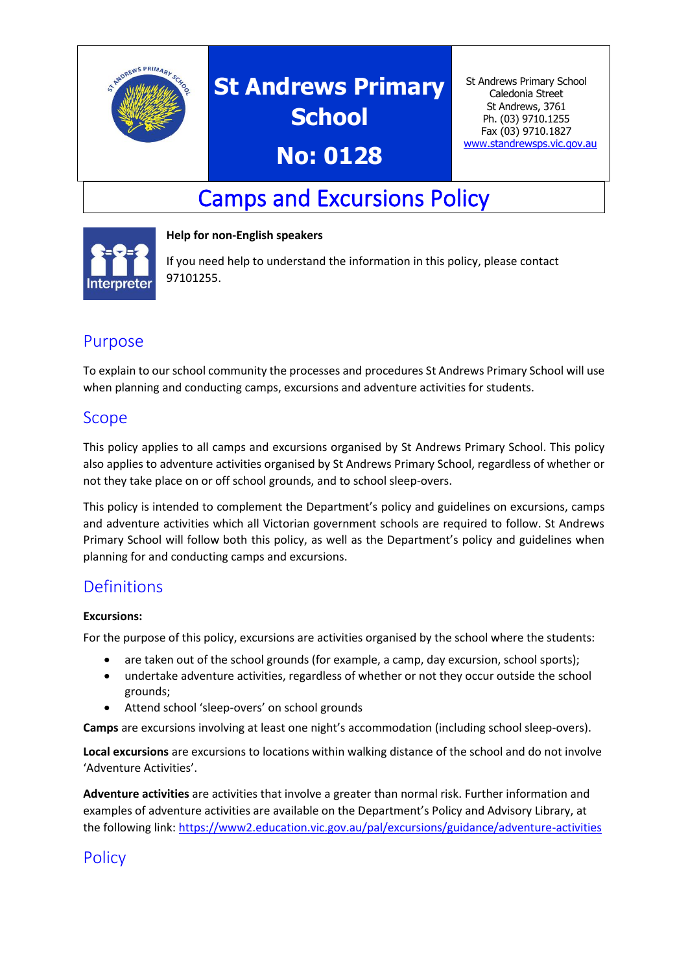

# **St Andrews Primary School**

## **No: 0128**

St Andrews Primary School Caledonia Street St Andrews, 3761 Ph. (03) 9710.1255 Fax (03) 9710.1827 [www.standrewsps.vic.gov.au](http://www.standrewsps.vic.gov.au/)

## Camps and Excursions Policy



#### **Help for non-English speakers**

If you need help to understand the information in this policy, please contact 97101255.

## Purpose

To explain to our school community the processes and procedures St Andrews Primary School will use when planning and conducting camps, excursions and adventure activities for students.

### Scope

This policy applies to all camps and excursions organised by St Andrews Primary School. This policy also applies to adventure activities organised by St Andrews Primary School, regardless of whether or not they take place on or off school grounds, and to school sleep-overs.

This policy is intended to complement the Department's policy and guidelines on excursions, camps and adventure activities which all Victorian government schools are required to follow. St Andrews Primary School will follow both this policy, as well as the Department's policy and guidelines when planning for and conducting camps and excursions.

## **Definitions**

#### **Excursions:**

For the purpose of this policy, excursions are activities organised by the school where the students:

- are taken out of the school grounds (for example, a camp, day excursion, school sports);
- undertake adventure activities, regardless of whether or not they occur outside the school grounds;
- Attend school 'sleep-overs' on school grounds

**Camps** are excursions involving at least one night's accommodation (including school sleep-overs).

**Local excursions** are excursions to locations within walking distance of the school and do not involve 'Adventure Activities'.

**Adventure activities** are activities that involve a greater than normal risk. Further information and examples of adventure activities are available on the Department's Policy and Advisory Library, at the following link[: https://www2.education.vic.gov.au/pal/excursions/guidance/adventure-activities](https://www2.education.vic.gov.au/pal/excursions/guidance/adventure-activities)

## **Policy**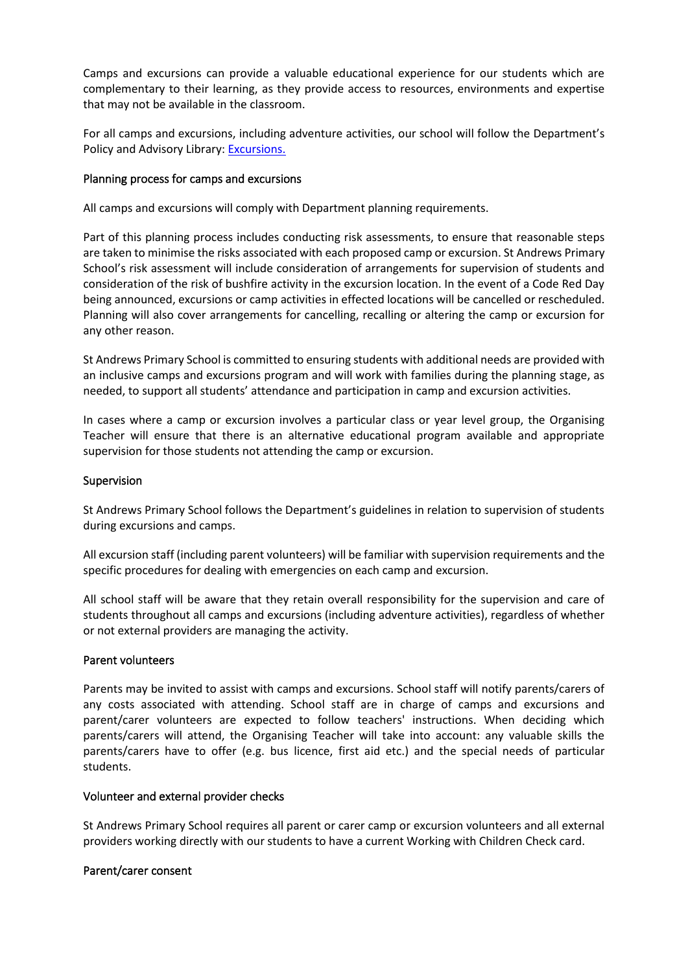Camps and excursions can provide a valuable educational experience for our students which are complementary to their learning, as they provide access to resources, environments and expertise that may not be available in the classroom.

For all camps and excursions, including adventure activities, our school will follow the Department's Policy and Advisory Library: [Excursions.](https://www2.education.vic.gov.au/pal/excursions/policy)

#### Planning process for camps and excursions

All camps and excursions will comply with Department planning requirements.

Part of this planning process includes conducting risk assessments, to ensure that reasonable steps are taken to minimise the risks associated with each proposed camp or excursion. St Andrews Primary School's risk assessment will include consideration of arrangements for supervision of students and consideration of the risk of bushfire activity in the excursion location. In the event of a Code Red Day being announced, excursions or camp activities in effected locations will be cancelled or rescheduled. Planning will also cover arrangements for cancelling, recalling or altering the camp or excursion for any other reason.

St Andrews Primary School is committed to ensuring students with additional needs are provided with an inclusive camps and excursions program and will work with families during the planning stage, as needed, to support all students' attendance and participation in camp and excursion activities.

In cases where a camp or excursion involves a particular class or year level group, the Organising Teacher will ensure that there is an alternative educational program available and appropriate supervision for those students not attending the camp or excursion.

#### Supervision

St Andrews Primary School follows the Department's guidelines in relation to supervision of students during excursions and camps.

All excursion staff (including parent volunteers) will be familiar with supervision requirements and the specific procedures for dealing with emergencies on each camp and excursion.

All school staff will be aware that they retain overall responsibility for the supervision and care of students throughout all camps and excursions (including adventure activities), regardless of whether or not external providers are managing the activity.

#### Parent volunteers

Parents may be invited to assist with camps and excursions. School staff will notify parents/carers of any costs associated with attending. School staff are in charge of camps and excursions and parent/carer volunteers are expected to follow teachers' instructions. When deciding which parents/carers will attend, the Organising Teacher will take into account: any valuable skills the parents/carers have to offer (e.g. bus licence, first aid etc.) and the special needs of particular students.

#### Volunteer and external provider checks

St Andrews Primary School requires all parent or carer camp or excursion volunteers and all external providers working directly with our students to have a current Working with Children Check card.

#### Parent/carer consent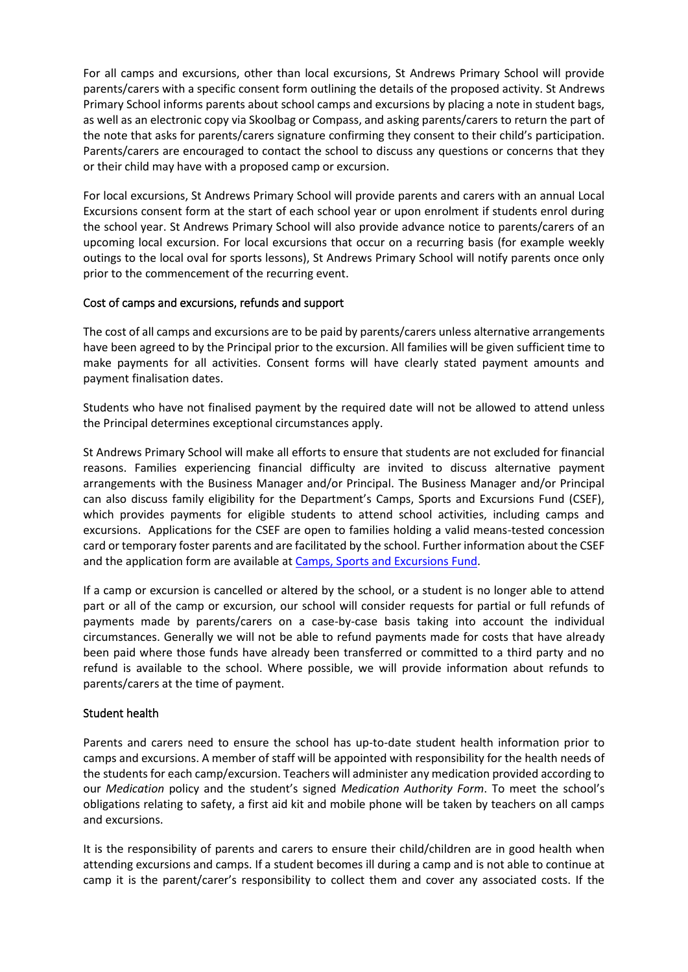For all camps and excursions, other than local excursions, St Andrews Primary School will provide parents/carers with a specific consent form outlining the details of the proposed activity. St Andrews Primary School informs parents about school camps and excursions by placing a note in student bags, as well as an electronic copy via Skoolbag or Compass, and asking parents/carers to return the part of the note that asks for parents/carers signature confirming they consent to their child's participation. Parents/carers are encouraged to contact the school to discuss any questions or concerns that they or their child may have with a proposed camp or excursion.

For local excursions, St Andrews Primary School will provide parents and carers with an annual Local Excursions consent form at the start of each school year or upon enrolment if students enrol during the school year. St Andrews Primary School will also provide advance notice to parents/carers of an upcoming local excursion. For local excursions that occur on a recurring basis (for example weekly outings to the local oval for sports lessons), St Andrews Primary School will notify parents once only prior to the commencement of the recurring event.

#### Cost of camps and excursions, refunds and support

The cost of all camps and excursions are to be paid by parents/carers unless alternative arrangements have been agreed to by the Principal prior to the excursion. All families will be given sufficient time to make payments for all activities. Consent forms will have clearly stated payment amounts and payment finalisation dates.

Students who have not finalised payment by the required date will not be allowed to attend unless the Principal determines exceptional circumstances apply.

St Andrews Primary School will make all efforts to ensure that students are not excluded for financial reasons. Families experiencing financial difficulty are invited to discuss alternative payment arrangements with the Business Manager and/or Principal. The Business Manager and/or Principal can also discuss family eligibility for the Department's Camps, Sports and Excursions Fund (CSEF), which provides payments for eligible students to attend school activities, including camps and excursions. Applications for the CSEF are open to families holding a valid means-tested concession card or temporary foster parents and are facilitated by the school. Further information about the CSEF and the application form are available a[t Camps, Sports and Excursions Fund.](https://www2.education.vic.gov.au/pal/camps-sports-and-excursions-fund/policy)

If a camp or excursion is cancelled or altered by the school, or a student is no longer able to attend part or all of the camp or excursion, our school will consider requests for partial or full refunds of payments made by parents/carers on a case-by-case basis taking into account the individual circumstances. Generally we will not be able to refund payments made for costs that have already been paid where those funds have already been transferred or committed to a third party and no refund is available to the school. Where possible, we will provide information about refunds to parents/carers at the time of payment.

#### Student health

Parents and carers need to ensure the school has up-to-date student health information prior to camps and excursions. A member of staff will be appointed with responsibility for the health needs of the students for each camp/excursion. Teachers will administer any medication provided according to our *Medication* policy and the student's signed *Medication Authority Form*. To meet the school's obligations relating to safety, a first aid kit and mobile phone will be taken by teachers on all camps and excursions.

It is the responsibility of parents and carers to ensure their child/children are in good health when attending excursions and camps. If a student becomes ill during a camp and is not able to continue at camp it is the parent/carer's responsibility to collect them and cover any associated costs. If the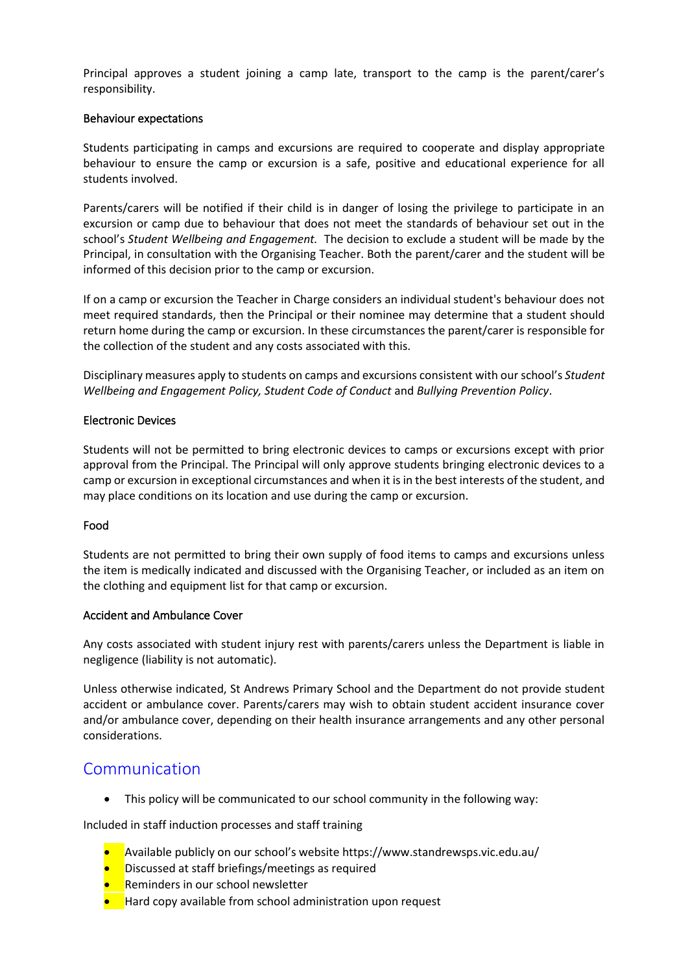Principal approves a student joining a camp late, transport to the camp is the parent/carer's responsibility.

#### Behaviour expectations

Students participating in camps and excursions are required to cooperate and display appropriate behaviour to ensure the camp or excursion is a safe, positive and educational experience for all students involved.

Parents/carers will be notified if their child is in danger of losing the privilege to participate in an excursion or camp due to behaviour that does not meet the standards of behaviour set out in the school's *Student Wellbeing and Engagement.* The decision to exclude a student will be made by the Principal, in consultation with the Organising Teacher. Both the parent/carer and the student will be informed of this decision prior to the camp or excursion.

If on a camp or excursion the Teacher in Charge considers an individual student's behaviour does not meet required standards, then the Principal or their nominee may determine that a student should return home during the camp or excursion. In these circumstances the parent/carer is responsible for the collection of the student and any costs associated with this.

Disciplinary measures apply to students on camps and excursions consistent with our school's *Student Wellbeing and Engagement Policy, Student Code of Conduct* and *Bullying Prevention Policy*.

#### Electronic Devices

Students will not be permitted to bring electronic devices to camps or excursions except with prior approval from the Principal. The Principal will only approve students bringing electronic devices to a camp or excursion in exceptional circumstances and when it is in the best interests of the student, and may place conditions on its location and use during the camp or excursion.

#### Food

Students are not permitted to bring their own supply of food items to camps and excursions unless the item is medically indicated and discussed with the Organising Teacher, or included as an item on the clothing and equipment list for that camp or excursion.

#### Accident and Ambulance Cover

Any costs associated with student injury rest with parents/carers unless the Department is liable in negligence (liability is not automatic).

Unless otherwise indicated, St Andrews Primary School and the Department do not provide student accident or ambulance cover. Parents/carers may wish to obtain student accident insurance cover and/or ambulance cover, depending on their health insurance arrangements and any other personal considerations.

### Communication

• This policy will be communicated to our school community in the following way:

Included in staff induction processes and staff training

- Available publicly on our school's website https://www.standrewsps.vic.edu.au/
- Discussed at staff briefings/meetings as required
- **Reminders in our school newsletter**
- Hard copy available from school administration upon request